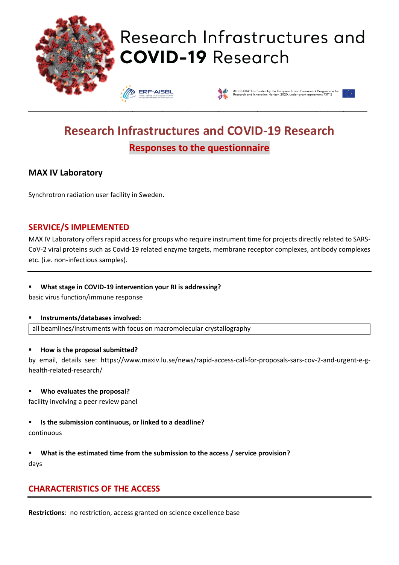

# Research Infrastructures and **COVID-19 Research**

**ERF-AISBL** 



# **Research Infrastructures and COVID-19 Research Responses to the questionnaire**

\_\_\_\_\_\_\_\_\_\_\_\_\_\_\_\_\_\_\_\_\_\_\_\_\_\_\_\_\_\_\_\_\_\_\_\_\_\_\_\_\_\_\_\_\_\_\_\_\_\_\_\_\_\_\_\_\_\_\_\_\_\_\_\_\_\_\_\_\_\_\_\_\_\_\_\_\_\_\_\_\_\_\_\_\_\_\_\_\_\_\_\_\_\_\_\_\_\_\_\_\_\_\_\_\_\_\_\_\_\_\_\_\_\_

# **MAX IV Laboratory**

Synchrotron radiation user facility in Sweden.

### **SERVICE/S IMPLEMENTED**

MAX IV Laboratory offers rapid access for groups who require instrument time for projects directly related to SARS-CoV-2 viral proteins such as Covid-19 related enzyme targets, membrane receptor complexes, antibody complexes etc. (i.e. non-infectious samples).

#### ▪ **What stage in COVID-19 intervention your RI is addressing?**

basic virus function/immune response

#### ▪ **Instruments/databases involved:**

all beamlines/instruments with focus on macromolecular crystallography

#### ▪ **How is the proposal submitted?**

by email, details see: https://www.maxiv.lu.se/news/rapid-access-call-for-proposals-sars-cov-2-and-urgent-e-ghealth-related-research/

#### ▪ **Who evaluates the proposal?**

facility involving a peer review panel

#### ▪ **Is the submission continuous, or linked to a deadline?**

continuous

▪ **What is the estimated time from the submission to the access / service provision?** days

# **CHARACTERISTICS OF THE ACCESS**

**Restrictions**: no restriction, access granted on science excellence base